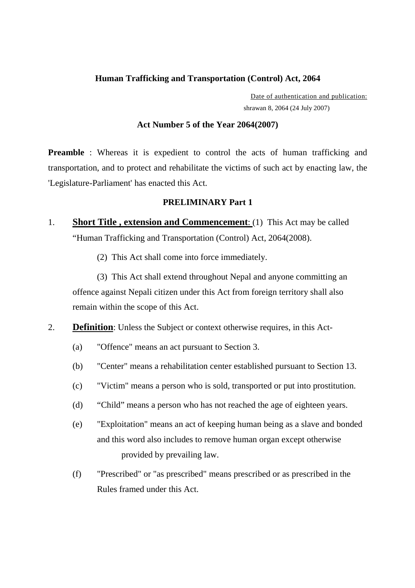## **Human Trafficking and Transportation (Control) Act, 2064**

 Date of authentication and publication: shrawan 8, 2064 (24 July 2007)

### **Act Number 5 of the Year 2064(2007)**

**Preamble** : Whereas it is expedient to control the acts of human trafficking and transportation, and to protect and rehabilitate the victims of such act by enacting law, the 'Legislature-Parliament' has enacted this Act.

## **PRELIMINARY Part 1**

- 1. **Short Title , extension and Commencement**: (1) This Act may be called "Human Trafficking and Transportation (Control) Act, 2064(2008).
	- (2) This Act shall come into force immediately.

 (3) This Act shall extend throughout Nepal and anyone committing an offence against Nepali citizen under this Act from foreign territory shall also remain within the scope of this Act.

- 2. **Definition**: Unless the Subject or context otherwise requires, in this Act-
	- (a) "Offence" means an act pursuant to Section 3.
	- (b) "Center" means a rehabilitation center established pursuant to Section 13.
	- (c) "Victim" means a person who is sold, transported or put into prostitution.
	- (d) "Child" means a person who has not reached the age of eighteen years.
	- (e) "Exploitation" means an act of keeping human being as a slave and bonded and this word also includes to remove human organ except otherwise provided by prevailing law.
	- (f) "Prescribed" or "as prescribed" means prescribed or as prescribed in the Rules framed under this Act.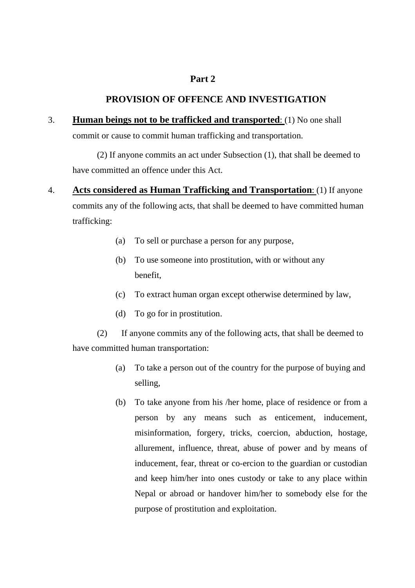# **Part 2**

# **PROVISION OF OFFENCE AND INVESTIGATION**

## 3. **Human beings not to be trafficked and transported**: (1) No one shall

commit or cause to commit human trafficking and transportation.

 (2) If anyone commits an act under Subsection (1), that shall be deemed to have committed an offence under this Act.

- 4. **Acts considered as Human Trafficking and Transportation**: (1) If anyone commits any of the following acts, that shall be deemed to have committed human trafficking:
	- (a) To sell or purchase a person for any purpose,
	- (b) To use someone into prostitution, with or without any benefit,
	- (c) To extract human organ except otherwise determined by law,
	- (d) To go for in prostitution.

 (2) If anyone commits any of the following acts, that shall be deemed to have committed human transportation:

- (a) To take a person out of the country for the purpose of buying and selling,
- (b) To take anyone from his /her home, place of residence or from a person by any means such as enticement, inducement, misinformation, forgery, tricks, coercion, abduction, hostage, allurement, influence, threat, abuse of power and by means of inducement, fear, threat or co-ercion to the guardian or custodian and keep him/her into ones custody or take to any place within Nepal or abroad or handover him/her to somebody else for the purpose of prostitution and exploitation.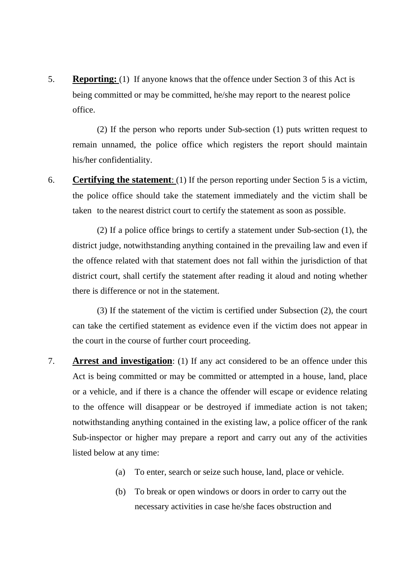5. **Reporting:** (1) If anyone knows that the offence under Section 3 of this Act is being committed or may be committed, he/she may report to the nearest police office.

 (2) If the person who reports under Sub-section (1) puts written request to remain unnamed, the police office which registers the report should maintain his/her confidentiality.

6. **Certifying the statement**: (1) If the person reporting under Section 5 is a victim, the police office should take the statement immediately and the victim shall be taken to the nearest district court to certify the statement as soon as possible.

 (2) If a police office brings to certify a statement under Sub-section (1), the district judge, notwithstanding anything contained in the prevailing law and even if the offence related with that statement does not fall within the jurisdiction of that district court, shall certify the statement after reading it aloud and noting whether there is difference or not in the statement.

 (3) If the statement of the victim is certified under Subsection (2), the court can take the certified statement as evidence even if the victim does not appear in the court in the course of further court proceeding.

- 7. **Arrest and investigation**: (1) If any act considered to be an offence under this Act is being committed or may be committed or attempted in a house, land, place or a vehicle, and if there is a chance the offender will escape or evidence relating to the offence will disappear or be destroyed if immediate action is not taken; notwithstanding anything contained in the existing law, a police officer of the rank Sub-inspector or higher may prepare a report and carry out any of the activities listed below at any time:
	- (a) To enter, search or seize such house, land, place or vehicle.
	- (b) To break or open windows or doors in order to carry out the necessary activities in case he/she faces obstruction and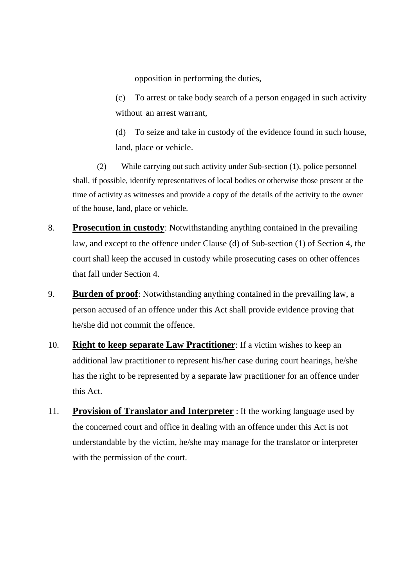opposition in performing the duties,

(c) To arrest or take body search of a person engaged in such activity without an arrest warrant,

(d) To seize and take in custody of the evidence found in such house, land, place or vehicle.

 (2) While carrying out such activity under Sub-section (1), police personnel shall, if possible, identify representatives of local bodies or otherwise those present at the time of activity as witnesses and provide a copy of the details of the activity to the owner of the house, land, place or vehicle.

- 8. **Prosecution in custody**: Notwithstanding anything contained in the prevailing law, and except to the offence under Clause (d) of Sub-section (1) of Section 4, the court shall keep the accused in custody while prosecuting cases on other offences that fall under Section 4.
- 9. **Burden of proof**: Notwithstanding anything contained in the prevailing law, a person accused of an offence under this Act shall provide evidence proving that he/she did not commit the offence.
- 10. **Right to keep separate Law Practitioner**: If a victim wishes to keep an additional law practitioner to represent his/her case during court hearings, he/she has the right to be represented by a separate law practitioner for an offence under this Act.
- 11. **Provision of Translator and Interpreter** : If the working language used by the concerned court and office in dealing with an offence under this Act is not understandable by the victim, he/she may manage for the translator or interpreter with the permission of the court.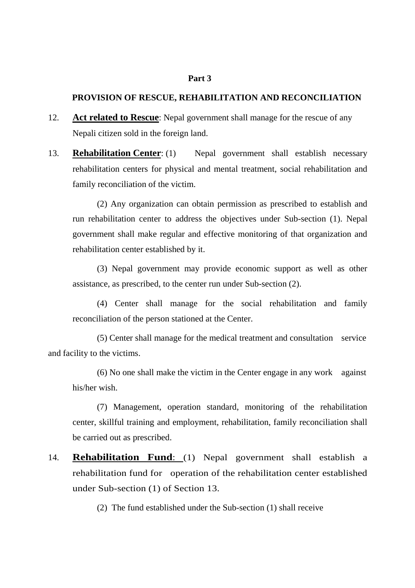#### **Part 3**

## **PROVISION OF RESCUE, REHABILITATION AND RECONCILIATION**

- 12. **Act related to Rescue**: Nepal government shall manage for the rescue of any Nepali citizen sold in the foreign land.
- 13. **Rehabilitation Center**: (1) Nepal government shall establish necessary rehabilitation centers for physical and mental treatment, social rehabilitation and family reconciliation of the victim.

 (2) Any organization can obtain permission as prescribed to establish and run rehabilitation center to address the objectives under Sub-section (1). Nepal government shall make regular and effective monitoring of that organization and rehabilitation center established by it.

 (3) Nepal government may provide economic support as well as other assistance, as prescribed, to the center run under Sub-section (2).

 (4) Center shall manage for the social rehabilitation and family reconciliation of the person stationed at the Center.

 (5) Center shall manage for the medical treatment and consultation service and facility to the victims.

 (6) No one shall make the victim in the Center engage in any work against his/her wish.

 (7) Management, operation standard, monitoring of the rehabilitation center, skillful training and employment, rehabilitation, family reconciliation shall be carried out as prescribed.

14. **Rehabilitation Fund**: (1) Nepal government shall establish a rehabilitation fund for operation of the rehabilitation center established under Sub-section (1) of Section 13.

(2) The fund established under the Sub-section (1) shall receive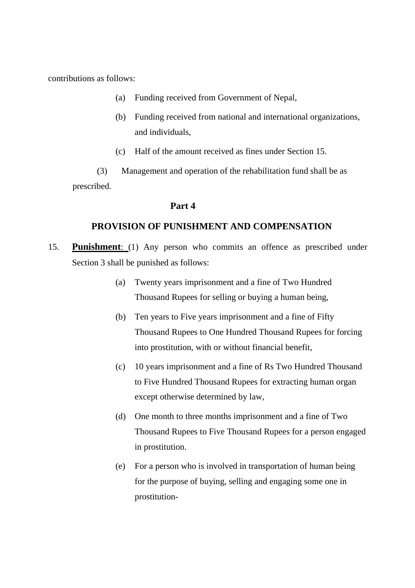contributions as follows:

- (a) Funding received from Government of Nepal,
- (b) Funding received from national and international organizations, and individuals,
- (c) Half of the amount received as fines under Section 15.

 (3) Management and operation of the rehabilitation fund shall be as prescribed.

### **Part 4**

## **PROVISION OF PUNISHMENT AND COMPENSATION**

- 15. **Punishment**: (1) Any person who commits an offence as prescribed under Section 3 shall be punished as follows:
	- (a) Twenty years imprisonment and a fine of Two Hundred Thousand Rupees for selling or buying a human being,
	- (b) Ten years to Five years imprisonment and a fine of Fifty Thousand Rupees to One Hundred Thousand Rupees for forcing into prostitution, with or without financial benefit,
	- (c) 10 years imprisonment and a fine of Rs Two Hundred Thousand to Five Hundred Thousand Rupees for extracting human organ except otherwise determined by law,
	- (d) One month to three months imprisonment and a fine of Two Thousand Rupees to Five Thousand Rupees for a person engaged in prostitution.
	- (e) For a person who is involved in transportation of human being for the purpose of buying, selling and engaging some one in prostitution-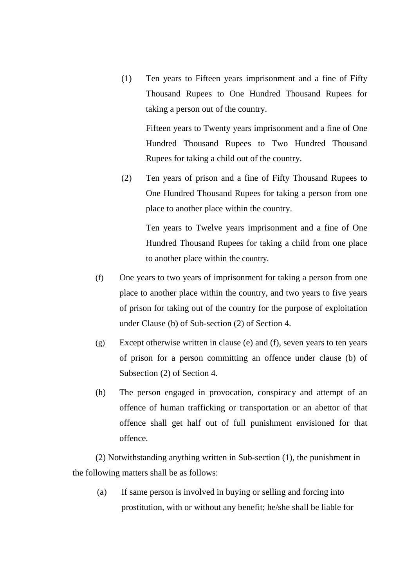(1) Ten years to Fifteen years imprisonment and a fine of Fifty Thousand Rupees to One Hundred Thousand Rupees for taking a person out of the country.

 Fifteen years to Twenty years imprisonment and a fine of One Hundred Thousand Rupees to Two Hundred Thousand Rupees for taking a child out of the country.

(2) Ten years of prison and a fine of Fifty Thousand Rupees to One Hundred Thousand Rupees for taking a person from one place to another place within the country.

 Ten years to Twelve years imprisonment and a fine of One Hundred Thousand Rupees for taking a child from one place to another place within the country.

- (f) One years to two years of imprisonment for taking a person from one place to another place within the country, and two years to five years of prison for taking out of the country for the purpose of exploitation under Clause (b) of Sub-section (2) of Section 4.
- (g) Except otherwise written in clause (e) and (f), seven years to ten years of prison for a person committing an offence under clause (b) of Subsection (2) of Section 4.
- (h) The person engaged in provocation, conspiracy and attempt of an offence of human trafficking or transportation or an abettor of that offence shall get half out of full punishment envisioned for that offence.

(2) Notwithstanding anything written in Sub-section (1), the punishment in the following matters shall be as follows:

(a) If same person is involved in buying or selling and forcing into prostitution, with or without any benefit; he/she shall be liable for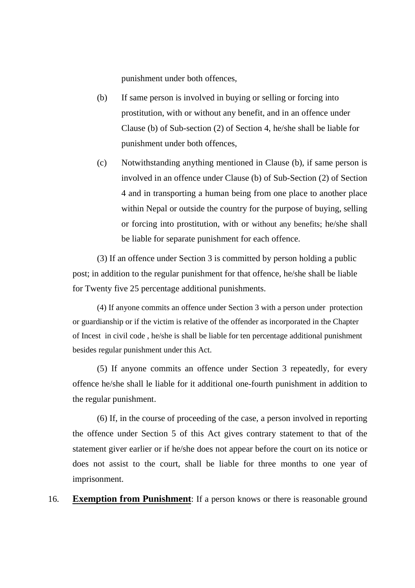punishment under both offences,

- (b) If same person is involved in buying or selling or forcing into prostitution, with or without any benefit, and in an offence under Clause (b) of Sub-section (2) of Section 4, he/she shall be liable for punishment under both offences,
- (c) Notwithstanding anything mentioned in Clause (b), if same person is involved in an offence under Clause (b) of Sub-Section (2) of Section 4 and in transporting a human being from one place to another place within Nepal or outside the country for the purpose of buying, selling or forcing into prostitution, with or without any benefits; he/she shall be liable for separate punishment for each offence.

(3) If an offence under Section 3 is committed by person holding a public post; in addition to the regular punishment for that offence, he/she shall be liable for Twenty five 25 percentage additional punishments.

 (4) If anyone commits an offence under Section 3 with a person under protection or guardianship or if the victim is relative of the offender as incorporated in the Chapter of Incest in civil code , he/she is shall be liable for ten percentage additional punishment besides regular punishment under this Act.

(5) If anyone commits an offence under Section 3 repeatedly, for every offence he/she shall le liable for it additional one-fourth punishment in addition to the regular punishment.

(6) If, in the course of proceeding of the case, a person involved in reporting the offence under Section 5 of this Act gives contrary statement to that of the statement giver earlier or if he/she does not appear before the court on its notice or does not assist to the court, shall be liable for three months to one year of imprisonment.

16. **Exemption from Punishment**: If a person knows or there is reasonable ground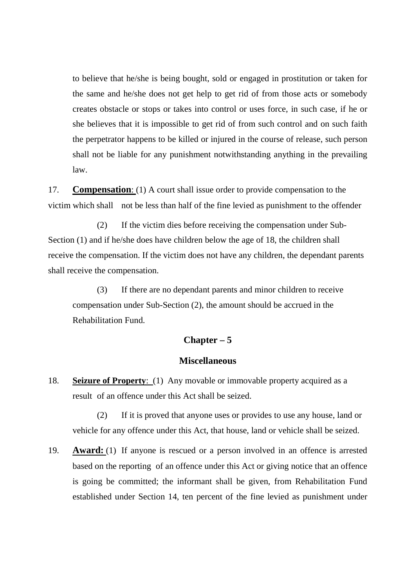to believe that he/she is being bought, sold or engaged in prostitution or taken for the same and he/she does not get help to get rid of from those acts or somebody creates obstacle or stops or takes into control or uses force, in such case, if he or she believes that it is impossible to get rid of from such control and on such faith the perpetrator happens to be killed or injured in the course of release, such person shall not be liable for any punishment notwithstanding anything in the prevailing law.

17. **Compensation**: (1) A court shall issue order to provide compensation to the victim which shall not be less than half of the fine levied as punishment to the offender

 (2) If the victim dies before receiving the compensation under Sub-Section (1) and if he/she does have children below the age of 18, the children shall receive the compensation. If the victim does not have any children, the dependant parents shall receive the compensation.

 (3) If there are no dependant parents and minor children to receive compensation under Sub-Section (2), the amount should be accrued in the Rehabilitation Fund.

## **Chapter – 5**

## **Miscellaneous**

18. **Seizure of Property**: (1) Any movable or immovable property acquired as a result of an offence under this Act shall be seized.

 (2) If it is proved that anyone uses or provides to use any house, land or vehicle for any offence under this Act, that house, land or vehicle shall be seized.

19. **Award:** (1) If anyone is rescued or a person involved in an offence is arrested based on the reporting of an offence under this Act or giving notice that an offence is going be committed; the informant shall be given, from Rehabilitation Fund established under Section 14, ten percent of the fine levied as punishment under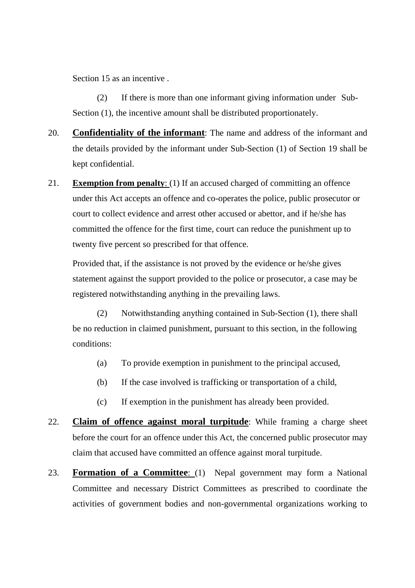Section 15 as an incentive .

 (2) If there is more than one informant giving information under Sub- Section (1), the incentive amount shall be distributed proportionately.

- 20. **Confidentiality of the informant**: The name and address of the informant and the details provided by the informant under Sub-Section (1) of Section 19 shall be kept confidential.
- 21. **Exemption from penalty**: (1) If an accused charged of committing an offence under this Act accepts an offence and co-operates the police, public prosecutor or court to collect evidence and arrest other accused or abettor, and if he/she has committed the offence for the first time, court can reduce the punishment up to twenty five percent so prescribed for that offence.

 Provided that, if the assistance is not proved by the evidence or he/she gives statement against the support provided to the police or prosecutor, a case may be registered notwithstanding anything in the prevailing laws.

 (2) Notwithstanding anything contained in Sub-Section (1), there shall be no reduction in claimed punishment, pursuant to this section, in the following conditions:

- (a) To provide exemption in punishment to the principal accused,
- (b) If the case involved is trafficking or transportation of a child,
- (c) If exemption in the punishment has already been provided.
- 22. **Claim of offence against moral turpitude**: While framing a charge sheet before the court for an offence under this Act, the concerned public prosecutor may claim that accused have committed an offence against moral turpitude.
- 23. **Formation of a Committee**: (1) Nepal government may form a National Committee and necessary District Committees as prescribed to coordinate the activities of government bodies and non-governmental organizations working to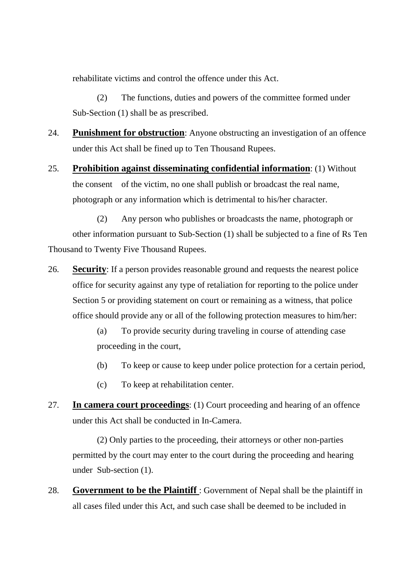rehabilitate victims and control the offence under this Act.

 (2) The functions, duties and powers of the committee formed under Sub-Section (1) shall be as prescribed.

- 24. **Punishment for obstruction**: Anyone obstructing an investigation of an offence under this Act shall be fined up to Ten Thousand Rupees.
- 25. **Prohibition against disseminating confidential information**: (1) Without the consent of the victim, no one shall publish or broadcast the real name, photograph or any information which is detrimental to his/her character.

 (2) Any person who publishes or broadcasts the name, photograph or other information pursuant to Sub-Section (1) shall be subjected to a fine of Rs Ten Thousand to Twenty Five Thousand Rupees.

26. **Security**: If a person provides reasonable ground and requests the nearest police office for security against any type of retaliation for reporting to the police under Section 5 or providing statement on court or remaining as a witness, that police office should provide any or all of the following protection measures to him/her:

> (a) To provide security during traveling in course of attending case proceeding in the court,

- (b) To keep or cause to keep under police protection for a certain period,
- (c) To keep at rehabilitation center.
- 27. **In camera court proceedings**: (1) Court proceeding and hearing of an offence under this Act shall be conducted in In-Camera.

 (2) Only parties to the proceeding, their attorneys or other non-parties permitted by the court may enter to the court during the proceeding and hearing under Sub-section (1).

28. **Government to be the Plaintiff** : Government of Nepal shall be the plaintiff in all cases filed under this Act, and such case shall be deemed to be included in